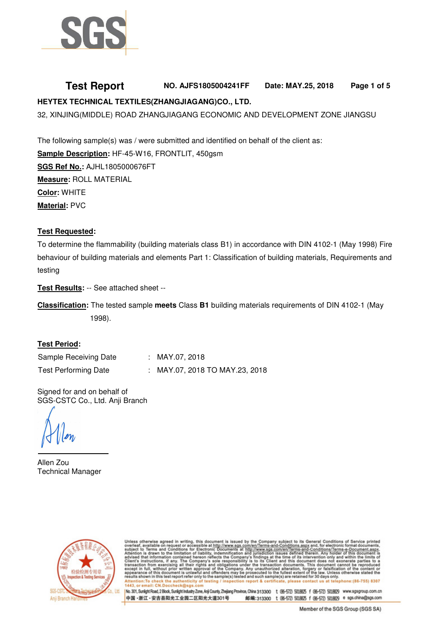

# **Test Report NO. AJFS1805004241FF Date: MAY.25, 2018 Page 1 of 5 HEYTEX TECHNICAL TEXTILES(ZHANGJIAGANG)CO., LTD.**

32, XINJING(MIDDLE) ROAD ZHANGJIAGANG ECONOMIC AND DEVELOPMENT ZONE JIANGSU

The following sample(s) was / were submitted and identified on behalf of the client as: **Sample Description: HF-45-W16, FRONTLIT, 450gsm SGS Ref No.:** AJHL1805000676FT **Measure:** ROLL MATERIAL **Color:** WHITE

**Material:** PVC

### **Test Requested:**

To determine the flammability (building materials class B1) in accordance with DIN 4102-1 (May 1998) Fire behaviour of building materials and elements Part 1: Classification of building materials, Requirements and testing

**Test Results:** -- See attached sheet --

**Classification:** The tested sample **meets** Class **B1** building materials requirements of DIN 4102-1 (May 1998).

#### **Test Period:**

Sample Receiving Date : MAY.07, 2018 Test Performing Date : MAY.07, 2018 TO MAY.23, 2018

Signed for and on behalf of SGS-CSTC Co., Ltd. Anji Branch

Allen Zou Technical Manager



ss otherwise agreed in writing, this document is issued by the Company subject to its General Conditions of Service printed<br>ect to Terms and Conditions for Electronic Documents is sued by the Company subject to its General Any unauthorized alteration, forgery or falsifica<br>prosecuted to the fullest extent of the law. Unles<br>and such sample(s) are retained for 30 days only nt is unlawful pro law. Unless oth s document is unlawful and offenders may be<br>is test report refer only to the sample(s) tested

No. 301, Sunlight Road, 2 Block, Sunlight Industry Zone, Anii County, Zheijang Province, China 313300 t (96-572) 5018925 f (96-572) 5018929 www.sgsgroup.com.cn 中国·浙江·安吉县阳光工业园二区阳光大道301号 邮编:313300 t (86-572) 5018625 f (86-572) 5018629 e sgs.china@sgs.com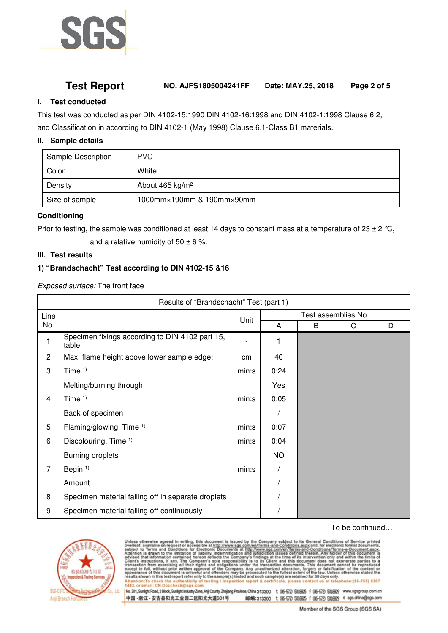

# **Test Report NO. AJFS1805004241FF Date: MAY.25, 2018 Page 2 of 5**

### **I. Test conducted**

This test was conducted as per DIN 4102-15:1990 DIN 4102-16:1998 and DIN 4102-1:1998 Clause 6.2, and Classification in according to DIN 4102-1 (May 1998) Clause 6.1-Class B1 materials.

#### **II. Sample details**

| <b>Sample Description</b> | <b>PVC</b>                |
|---------------------------|---------------------------|
| Color                     | White                     |
| Density                   | About 465 $kg/m2$         |
| Size of sample            | 1000mm×190mm & 190mm×90mm |

#### **Conditioning**

Prior to testing, the sample was conditioned at least 14 days to constant mass at a temperature of 23  $\pm$  2 °C,

and a relative humidity of  $50 \pm 6$  %.

#### **III. Test results**

#### **1) "Brandschacht" Test according to DIN 4102-15 &16**

*Exposed surface:* The front face

| Results of "Brandschacht" Test (part 1) |                                                          |       |                     |   |   |   |  |  |
|-----------------------------------------|----------------------------------------------------------|-------|---------------------|---|---|---|--|--|
| Line                                    |                                                          | Unit  | Test assemblies No. |   |   |   |  |  |
| No.                                     |                                                          |       | A                   | B | C | D |  |  |
| 1                                       | Specimen fixings according to DIN 4102 part 15,<br>table |       | 1                   |   |   |   |  |  |
| $\mathbf{2}$                            | Max. flame height above lower sample edge;               | cm    | 40                  |   |   |   |  |  |
| 3                                       | Time $1$ )                                               | min:s | 0:24                |   |   |   |  |  |
|                                         | Melting/burning through                                  |       | Yes                 |   |   |   |  |  |
| 4                                       | Time $1$ )                                               | min:s | 0:05                |   |   |   |  |  |
|                                         | <b>Back of specimen</b>                                  |       |                     |   |   |   |  |  |
| 5                                       | Flaming/glowing, Time 1)                                 | min:s | 0:07                |   |   |   |  |  |
| 6                                       | Discolouring, Time 1)                                    | min:s | 0:04                |   |   |   |  |  |
|                                         | <b>Burning droplets</b>                                  |       | <b>NO</b>           |   |   |   |  |  |
| $\overline{7}$                          | Begin <sup>1)</sup>                                      | min:s |                     |   |   |   |  |  |
|                                         | Amount                                                   |       |                     |   |   |   |  |  |
| 8                                       | Specimen material falling off in separate droplets       |       |                     |   |   |   |  |  |
| 9                                       | Specimen material falling off continuously               |       |                     |   |   |   |  |  |

#### To be continued…



1443

Unless otherwise agreed in writing, this document is issued by the Company subject to its General Conditions of Service printed overleaf, available on request or accessible at http://www.sgs.com/en/Terms-and-Conditions.Ta telephone:(86-755) 8307 n report & certifica in:To c of testing lease contact us

No. 301, Sunlight Road, 2 Block, Sunlight Industry Zone, Anji County, Zhejiang Province, China 313300 t (96-572) 5018825 f (96-572) 5018829 www.sgsgroup.com.cn 中国·浙江·安吉县阳光工业园二区阳光大道301号 邮编:313300 t (86-572) 5018625 f (86-572) 5018629 e sgs.china@sgs.com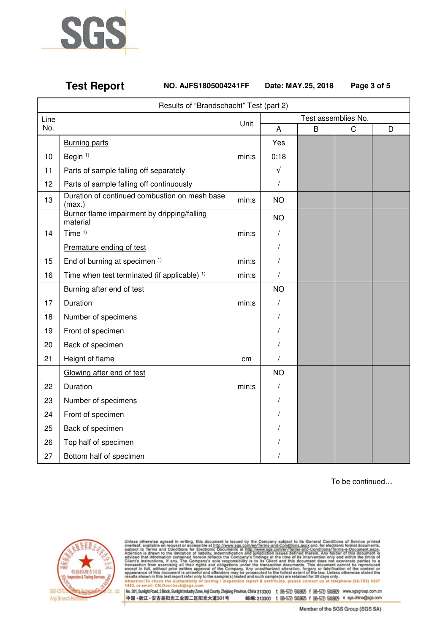

**Test Report NO. AJFS1805004241FF Date: MAY.25, 2018 Page 3 of 5**

|      | Results of "Brandschacht" Test (part 2)                          |       |            |                     |   |   |  |  |
|------|------------------------------------------------------------------|-------|------------|---------------------|---|---|--|--|
| Line | Unit                                                             |       |            | Test assemblies No. |   |   |  |  |
| No.  |                                                                  |       | A          | B                   | C | D |  |  |
|      | <b>Burning parts</b>                                             |       | Yes        |                     |   |   |  |  |
| 10   | Begin <sup>1)</sup>                                              | min:s | 0:18       |                     |   |   |  |  |
| 11   | Parts of sample falling off separately                           |       | $\sqrt{ }$ |                     |   |   |  |  |
| 12   | Parts of sample falling off continuously                         |       | $\prime$   |                     |   |   |  |  |
| 13   | Duration of continued combustion on mesh base<br>min:s<br>(max.) |       | <b>NO</b>  |                     |   |   |  |  |
|      | Burner flame impairment by dripping/falling<br>material          |       | <b>NO</b>  |                     |   |   |  |  |
| 14   | Time <sup>1)</sup>                                               | min:s | T          |                     |   |   |  |  |
|      | Premature ending of test                                         |       | T          |                     |   |   |  |  |
| 15   | End of burning at specimen 1)                                    | min:s |            |                     |   |   |  |  |
| 16   | Time when test terminated (if applicable) $1$ )                  | min:s | $\prime$   |                     |   |   |  |  |
|      | Burning after end of test                                        |       | <b>NO</b>  |                     |   |   |  |  |
| 17   | Duration                                                         | min:s | T          |                     |   |   |  |  |
| 18   | Number of specimens                                              |       |            |                     |   |   |  |  |
| 19   | Front of specimen                                                |       |            |                     |   |   |  |  |
| 20   | Back of specimen                                                 |       |            |                     |   |   |  |  |
| 21   | Height of flame                                                  | cm    |            |                     |   |   |  |  |
|      | Glowing after end of test                                        |       | <b>NO</b>  |                     |   |   |  |  |
| 22   | Duration                                                         | min:s | T          |                     |   |   |  |  |
| 23   | Number of specimens                                              |       | T          |                     |   |   |  |  |
| 24   | Front of specimen                                                |       |            |                     |   |   |  |  |
| 25   | Back of specimen                                                 |       |            |                     |   |   |  |  |
| 26   | Top half of specimen                                             |       |            |                     |   |   |  |  |
| 27   | Bottom half of specimen                                          |       |            |                     |   |   |  |  |

To be continued…



1443, or email: CN.

Unless otherwise agreed in writing, this document is issued by the Company subject to its General Conditions of Service printed overleaf, available on request or accessible at http://www.sgs.com/en/Terms-and-Conditions.as

|No.301,SunlightRoad,2Block,SunlightIndustryZone,Anji County,Zhejiang Province,China 313300 t (86-572) 5018825 f (86-572) 5018829 www.sgsgroup.com.cn<br>|中国・浙江・安吉县阳光工业园二区阳光大道301号 - 邮编:313300 t (86-572) 5118825 f (86-572) 5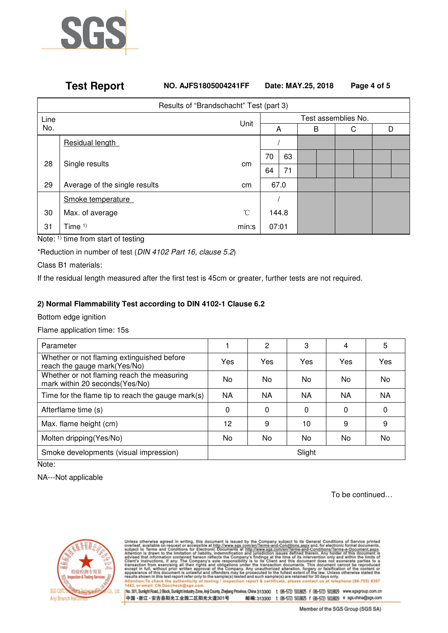

## **Test Report NO. AJFS1805004241FF Date: MAY.25, 2018 Page 4 of 5**

| Results of "Brandschacht" Test (part 3) |                               |       |                     |    |  |  |   |   |
|-----------------------------------------|-------------------------------|-------|---------------------|----|--|--|---|---|
| Line                                    |                               | Unit  | Test assemblies No. |    |  |  |   |   |
| No.                                     |                               |       |                     | A  |  |  | С | D |
|                                         | Residual length               |       |                     |    |  |  |   |   |
| 28<br>Single results                    |                               |       | 70                  | 63 |  |  |   |   |
|                                         |                               | cm    | 64                  | 71 |  |  |   |   |
| 29                                      | Average of the single results | cm    | 67.0                |    |  |  |   |   |
|                                         | Smoke temperature             |       |                     |    |  |  |   |   |
| 30                                      | Max. of average               | °C    | 144.8               |    |  |  |   |   |
| 31                                      | Time $1$ )                    | min:s | 07:01               |    |  |  |   |   |

Note: 1) time from start of testing

\*Reduction in number of test (*DIN 4102 Part 16, clause 5.2*)

Class B1 materials:

If the residual length measured after the first test is 45cm or greater, further tests are not required.

#### **2) Normal Flammability Test according to DIN 4102-1 Clause 6.2**

Bottom edge ignition

Flame application time: 15s

| Parameter                                                                     |     | 2   | 3      | 4        | 5   |
|-------------------------------------------------------------------------------|-----|-----|--------|----------|-----|
| Whether or not flaming extinguished before<br>reach the gauge mark(Yes/No)    | Yes | Yes | Yes    | Yes      | Yes |
| Whether or not flaming reach the measuring<br>mark within 20 seconds (Yes/No) | No. | No. | No.    | No.      | No  |
| Time for the flame tip to reach the gauge mark(s)                             | NA  | NA  | ΝA     | ΝA       | NA  |
| Afterflame time (s)                                                           | 0   | 0   | 0      | $\Omega$ | 0   |
| Max. flame height (cm)                                                        | 12  | 9   | 10     | 9        | 9   |
| Molten dripping (Yes/No)                                                      | No. | No  | No.    | No.      | No  |
| Smoke developments (visual impression)                                        |     |     | Slight |          |     |

Note:

NA---Not applicable

To be continued…



ess otherwise agreed in writing, this document is issued by the Company subject to its General Conditions of Service printed<br>feed, available on request or accessible at http://www.sgs.com/en/Terms-and-Conditions.agox.and, telephone:(86-755) 8307 on report & certificat please contact us in:To c 1443

No. 301, Sunlight Road, 2 Block, Sunlight Industry Zone, Anji County, Zhejiang Province, China 313300 t (96-572) 5018825 f (96-572) 5018829 www.sgsgroup.com.cn 中国·浙江·安吉县阳光工业园二区阳光大道301号 邮编:313300 t (86-572) 5018625 f (86-572) 5018629 e sgs.china@sgs.com